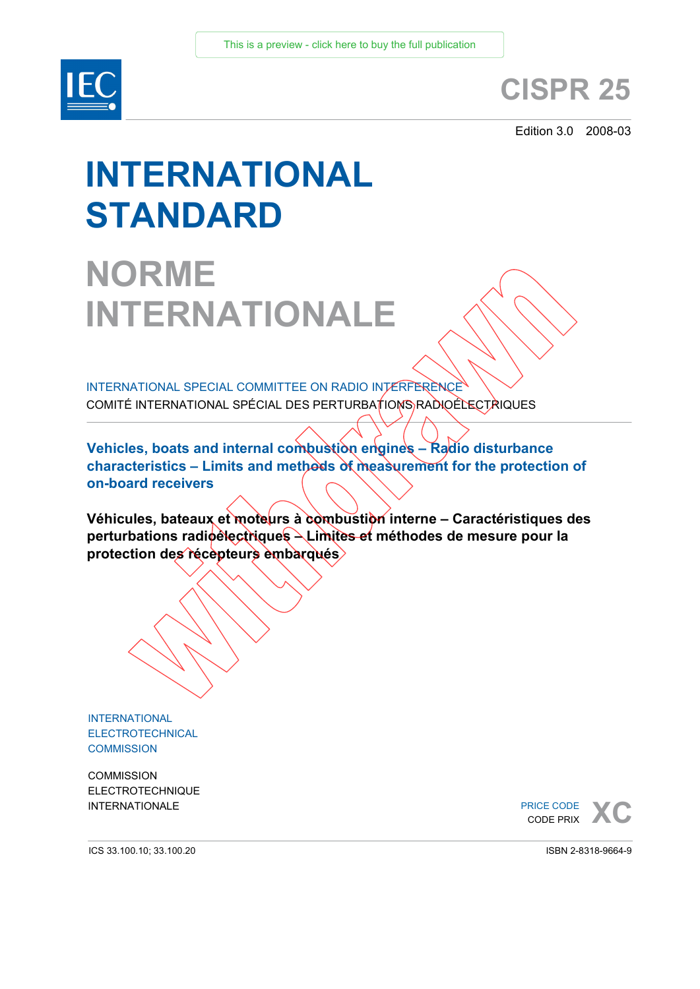

Edition 3.0 2008-03

# **INTERNATIONAL STANDARD**

# **NORME INTERNATIONALE**

INTERNATIONAL SPECIAL COMMITTEE ON RADIO INTERFERENCE COMITÉ INTERNATIONAL SPÉCIAL DES PERTURBATIONS RADIOÉLECTRIQUES

**Vehicles, boats and internal combustion engines – Radio disturbance characteristics – Limits and methods of measurement for the protection of on-board receivers** 

Véhicules, bateaux et moteurs à combustion interne – Caractéristiques des **perturbations radioélectriques – Limites et méthodes de mesure pour la protection des récepteurs embarqués** 

INTERNATIONAL ELECTROTECHNICAL **COMMISSION** 

**COMMISSION** ELECTROTECHNIQUE

**INTERNATIONALE**<br> **INTERNATIONALE**<br> **CODE PRIX** CODE PRIX

ICS 33.100.10; 33.100.20

ISBN 2-8318-9664-9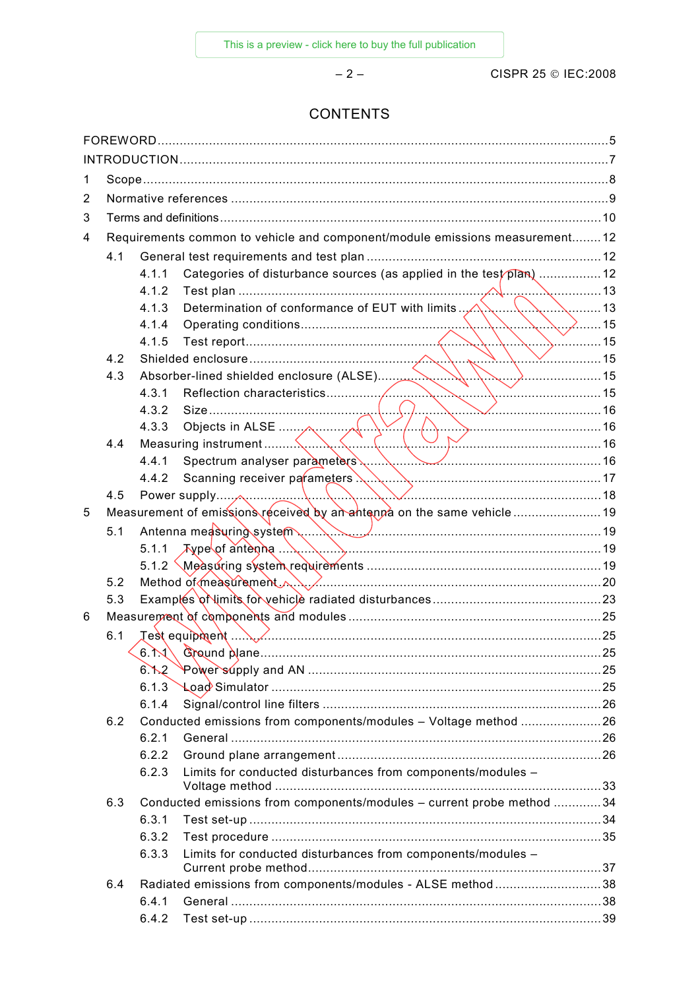$-2-$ 

# **CONTENTS**

| 1 |     |       |                                                                                                                                                                      |  |
|---|-----|-------|----------------------------------------------------------------------------------------------------------------------------------------------------------------------|--|
| 2 |     |       |                                                                                                                                                                      |  |
| 3 |     |       |                                                                                                                                                                      |  |
| 4 |     |       | Requirements common to vehicle and component/module emissions measurement12                                                                                          |  |
|   | 4.1 |       |                                                                                                                                                                      |  |
|   |     | 4.1.1 | Categories of disturbance sources (as applied in the test plan)  12                                                                                                  |  |
|   |     | 4.1.2 |                                                                                                                                                                      |  |
|   |     | 4.1.3 |                                                                                                                                                                      |  |
|   |     | 4.1.4 |                                                                                                                                                                      |  |
|   |     | 4.1.5 |                                                                                                                                                                      |  |
|   | 4.2 |       |                                                                                                                                                                      |  |
|   | 4.3 |       |                                                                                                                                                                      |  |
|   |     | 4.3.1 |                                                                                                                                                                      |  |
|   |     |       | 4.3.2 Size 16<br>4.3.3 Objects in ALSE 16<br>Measuring instrument 16<br>4.4.1 Spectrum analyser parameters                                                           |  |
|   |     |       |                                                                                                                                                                      |  |
|   | 4.4 |       |                                                                                                                                                                      |  |
|   |     |       |                                                                                                                                                                      |  |
|   |     | 4.4.2 |                                                                                                                                                                      |  |
|   | 4.5 |       | Power supply $\ldots$ , $\ldots$ , $\ldots$ , $\ldots$ , $\ldots$ , $\ldots$ , $\ldots$ , $\ldots$ , $\ldots$ , $\ldots$ , $\ldots$ , $\ldots$ , $\ldots$ , $\ldots$ |  |
| 5 |     |       | Measurement of emissions received by an antenna on the same vehicle  19                                                                                              |  |
|   | 5.1 |       |                                                                                                                                                                      |  |
|   |     |       |                                                                                                                                                                      |  |
|   |     |       |                                                                                                                                                                      |  |
|   | 5.2 |       |                                                                                                                                                                      |  |
|   | 5.3 |       |                                                                                                                                                                      |  |
| 6 |     |       |                                                                                                                                                                      |  |
|   | 6.1 |       |                                                                                                                                                                      |  |
|   |     |       |                                                                                                                                                                      |  |
|   |     | 6.12  |                                                                                                                                                                      |  |
|   |     | 6.1.3 |                                                                                                                                                                      |  |
|   |     | 6.1.4 |                                                                                                                                                                      |  |
|   | 6.2 |       | Conducted emissions from components/modules - Voltage method 26                                                                                                      |  |
|   |     | 6.2.1 |                                                                                                                                                                      |  |
|   |     | 6.2.2 |                                                                                                                                                                      |  |
|   |     | 6.2.3 | Limits for conducted disturbances from components/modules -                                                                                                          |  |
|   | 6.3 |       | Conducted emissions from components/modules - current probe method 34                                                                                                |  |
|   |     | 6.3.1 |                                                                                                                                                                      |  |
|   |     | 6.3.2 |                                                                                                                                                                      |  |
|   |     | 6.3.3 | Limits for conducted disturbances from components/modules -                                                                                                          |  |
|   |     |       |                                                                                                                                                                      |  |
|   | 6.4 |       | Radiated emissions from components/modules - ALSE method 38                                                                                                          |  |
|   |     | 6.4.1 |                                                                                                                                                                      |  |
|   |     | 6.4.2 |                                                                                                                                                                      |  |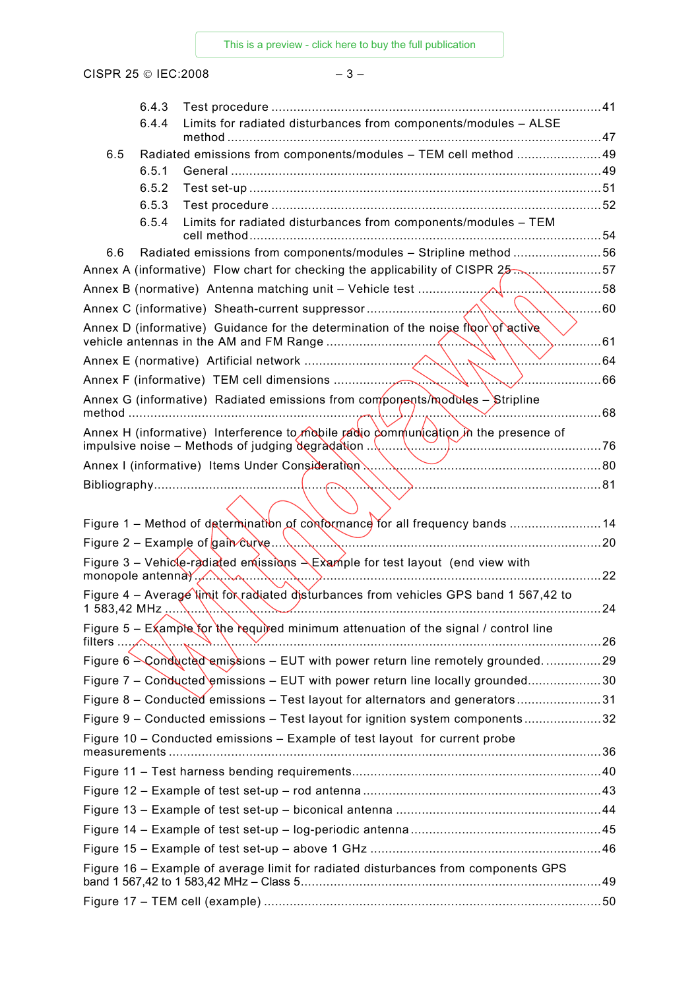[This is a preview - click here to buy the full publication](https://webstore.iec.ch/publication/78&preview=1)

CISPR 25 © IEC:2008 – 3 –

|                                              | 6.4.3 |                                                                                                                                                                                              | 41         |
|----------------------------------------------|-------|----------------------------------------------------------------------------------------------------------------------------------------------------------------------------------------------|------------|
|                                              | 6.4.4 | Limits for radiated disturbances from components/modules - ALSE                                                                                                                              |            |
|                                              |       |                                                                                                                                                                                              |            |
| 6.5                                          | 6.5.1 | Radiated emissions from components/modules - TEM cell method 49                                                                                                                              |            |
|                                              | 6.5.2 |                                                                                                                                                                                              |            |
|                                              | 6.5.3 |                                                                                                                                                                                              |            |
|                                              | 6.5.4 | Limits for radiated disturbances from components/modules - TEM                                                                                                                               |            |
|                                              |       | cell method.                                                                                                                                                                                 |            |
| 6.6                                          |       | Radiated emissions from components/modules - Stripline method 56                                                                                                                             |            |
|                                              |       | Annex A (informative) Flow chart for checking the applicability of CISPR 2557                                                                                                                |            |
|                                              |       | $\sqrt{2}$                                                                                                                                                                                   |            |
|                                              |       | $\setminus$ 60                                                                                                                                                                               |            |
|                                              |       | Annex D (informative) Guidance for the determination of the noise floor of active                                                                                                            | $\dots$ 61 |
|                                              |       |                                                                                                                                                                                              | 64         |
|                                              |       | . 66                                                                                                                                                                                         |            |
|                                              |       | Annex G (informative) Radiated emissions from components/modules - Stripline                                                                                                                 |            |
|                                              |       | Annex H (informative) Interference to mobile radio communication in the presence of                                                                                                          |            |
|                                              |       | impulsive noise - Methods of judging degradation                                                                                                                                             |            |
|                                              |       | Annex I (informative) Items Under Consideration<br>$\sim$ 80                                                                                                                                 |            |
|                                              |       |                                                                                                                                                                                              |            |
|                                              |       |                                                                                                                                                                                              |            |
|                                              |       | Figure 1 – Method of determination of conformance for all frequency bands  14                                                                                                                |            |
|                                              |       | Figure 2 – Example of gain $c$ urve.                                                                                                                                                         |            |
|                                              |       | Figure 3 – Vehicle-radiated emissions $\frac{1}{x}$ Example for test layout (end view with<br>monopole antennay $\bigwedge_{\mathcal{M}}\bigwedge_{\mathcal{M}}\dots\bigwedge_{\mathcal{M}}$ | 22         |
|                                              |       | Figure 4 - Average limit for radiated disturbances from vehicles GPS band 1 567,42 to<br>1 583,42 MHz \\\                                                                                    | 24         |
|                                              |       | Figure $5 - \frac{E\tan\theta}{\csc\theta}$ for the required minimum attenuation of the signal / control line                                                                                |            |
| filters $\ldots \wedge \ldots \wedge \ldots$ |       |                                                                                                                                                                                              |            |
|                                              |       | Figure 6 - Conducted emissions – EUT with power return line remotely grounded29                                                                                                              |            |
|                                              |       | Figure 7 - Conducted emissions - EUT with power return line locally grounded30                                                                                                               |            |
|                                              |       | Figure 8 - Conducted emissions - Test layout for alternators and generators31                                                                                                                |            |
|                                              |       | Figure 9 - Conducted emissions - Test layout for ignition system components32                                                                                                                |            |
| measurements.                                |       | Figure 10 – Conducted emissions – Example of test layout for current probe                                                                                                                   |            |
|                                              |       |                                                                                                                                                                                              |            |
|                                              |       |                                                                                                                                                                                              |            |
|                                              |       |                                                                                                                                                                                              |            |
|                                              |       |                                                                                                                                                                                              |            |
|                                              |       |                                                                                                                                                                                              |            |
|                                              |       | Figure 16 - Example of average limit for radiated disturbances from components GPS                                                                                                           |            |
|                                              |       |                                                                                                                                                                                              |            |
|                                              |       |                                                                                                                                                                                              |            |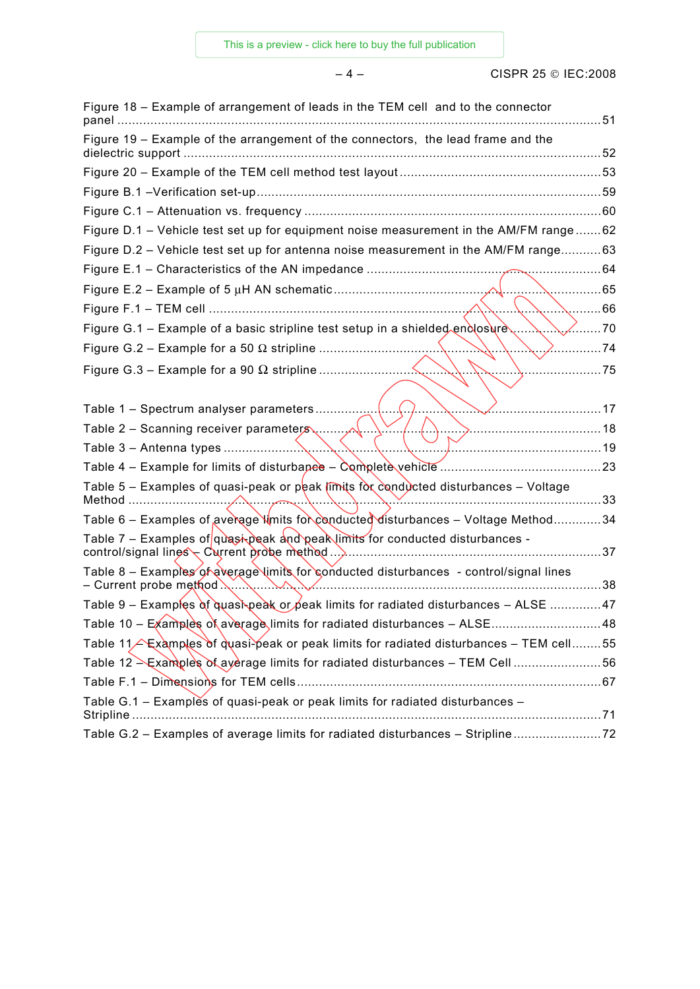# – 4 – CISPR 25 © IEC:2008

| Figure 18 – Example of arrangement of leads in the TEM cell and to the connector                                     |                    |
|----------------------------------------------------------------------------------------------------------------------|--------------------|
|                                                                                                                      | 51                 |
| Figure 19 - Example of the arrangement of the connectors, the lead frame and the                                     |                    |
|                                                                                                                      |                    |
|                                                                                                                      |                    |
|                                                                                                                      |                    |
| Figure D.1 – Vehicle test set up for equipment noise measurement in the AM/FM range62                                |                    |
| Figure D.2 – Vehicle test set up for antenna noise measurement in the AM/FM range63                                  |                    |
|                                                                                                                      |                    |
| 65                                                                                                                   |                    |
|                                                                                                                      | $\ldots \ldots 66$ |
| Figure G.1 – Example of a basic stripline test setup in a shielded enclosure<br>. 70                                 |                    |
|                                                                                                                      | . 74               |
| . 75                                                                                                                 |                    |
|                                                                                                                      |                    |
| Table 1 - Spectrum analyser parameters                                                                               |                    |
| Table 2 - Scanning receiver parameters                                                                               |                    |
| Table 3 - Antenna types                                                                                              |                    |
|                                                                                                                      |                    |
| Table 5 – Examples of quasi-peak or peak limits for conducted disturbances – Voltage                                 |                    |
| Table 6 – Examples of average limits for conducted disturbances – Voltage Method34                                   |                    |
| Table 7 - Examples of quasi-peak and peak limits for conducted disturbances -                                        |                    |
| control/signal lines $\lt$ Current probe method.                                                                     | .37                |
| Table 8 - Examples of average limits for conducted disturbances - control/signal lines<br>- Current probe method \\\ |                    |
| Table 9 – Examples of quasi-peak or peak limits for radiated disturbances – ALSE 47                                  |                    |
| Table 10 - Examples of average limits for radiated disturbances - ALSE 48                                            |                    |
| Table 11 $\angle$ Examples of quasi-peak or peak limits for radiated disturbances – TEM cell55                       |                    |
| Table 12 - Examples of average limits for radiated disturbances - TEM Cell 56                                        |                    |
|                                                                                                                      |                    |
| Table G.1 - Examples of quasi-peak or peak limits for radiated disturbances -                                        |                    |
|                                                                                                                      |                    |
| Table G.2 - Examples of average limits for radiated disturbances - Stripline72                                       |                    |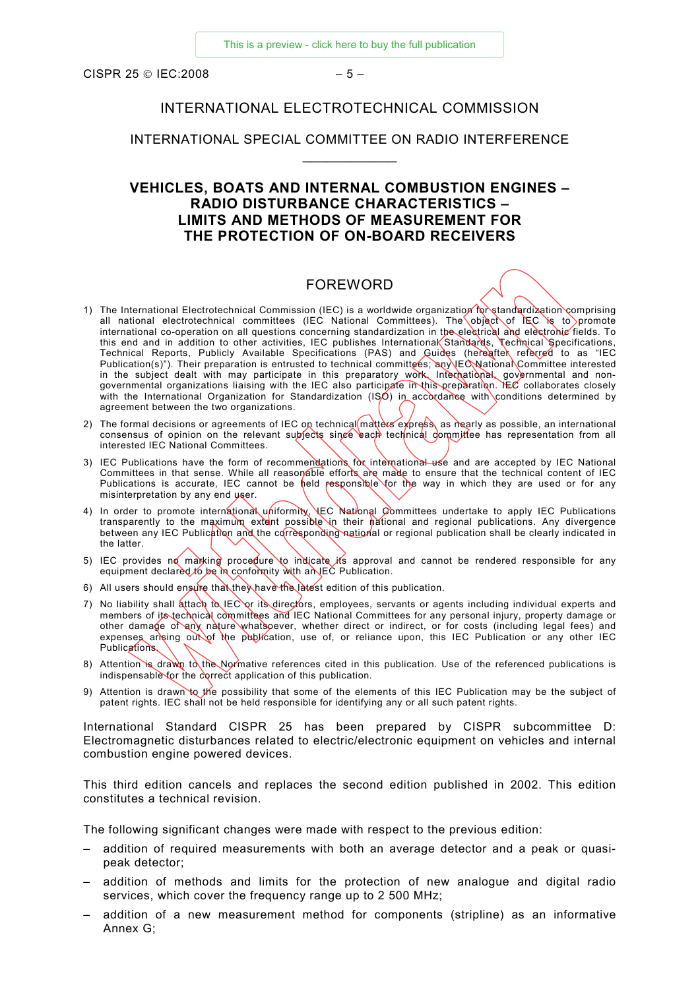<span id="page-4-0"></span> $CISPR 25 © IEC: 2008$  – 5

# INTERNATIONAL ELECTROTECHNICAL COMMISSION

### INTERNATIONAL SPECIAL COMMITTEE ON RADIO INTERFERENCE  $\_$

# **VEHICLES, BOATS AND INTERNAL COMBUSTION ENGINES – RADIO DISTURBANCE CHARACTERISTICS – LIMITS AND METHODS OF MEASUREMENT FOR THE PROTECTION OF ON-BOARD RECEIVERS**

# FOREWORD

- 1) The International Electrotechnical Commission (IEC) is a worldwide organization for standardization comprising all national electrotechnical committees (IEC National Committees). The object of IEC is to promote international co-operation on all questions concerning standardization in the electrical and electronic fields. To this end and in addition to other activities, IEC publishes International Standards, Technical Specifications, Technical Reports, Publicly Available Specifications (PAS) and Guides (hereafter referred to as "IEC Publication(s)"). Their preparation is entrusted to technical committees; any IEC National Committee interested in the subject dealt with may participate in this preparatory work. International, governmental and nongovernmental organizations liaising with the IEC also participate in this preparation. IEC collaborates closely with the International Organization for Standardization (ISO) in accordance with conditions determined by agreement between the two organizations.
- 2) The formal decisions or agreements of IEC on technical matters  $e$  and  $e$  as nearly as possible, an international consensus of opinion on the relevant subjects since each technical committee has representation from all interested IEC National Committees.
- 3) IEC Publications have the form of recommendations for international use and are accepted by IEC National Committees in that sense. While all reasonable efforts are made to ensure that the technical content of IEC Publications is accurate, IEC cannot be held responsible for the way in which they are used or for any misinterpretation by any end user.
- 4) In order to promote international uniformity, IEC National Committees undertake to apply IEC Publications transparently to the maximum extent possible in their national and regional publications. Any divergence between any IEC Publication and the corresponding national or regional publication shall be clearly indicated in the latter.
- 5) IEC provides no marking procedure to indicate its approval and cannot be rendered responsible for any equipment declared to be in conformity with an IEC Publication.
- 6) All users should ensure that they have the latest edition of this publication.
- 7) No liability shall attach to IEC or its directors, employees, servants or agents including individual experts and members of its technical committees and IEC National Committees for any personal injury, property damage or other damage of any nature whatsoever, whether direct or indirect, or for costs (including legal fees) and expenses arising out of the publication, use of, or reliance upon, this IEC Publication or any other IEC **Publications**
- 8) Attention is drawn to the Normative references cited in this publication. Use of the referenced publications is indispensable for the correct application of this publication.
- 9) Attention is drawn to the possibility that some of the elements of this IEC Publication may be the subject of patent rights. IEC shall not be held responsible for identifying any or all such patent rights.

International Standard CISPR 25 has been prepared by CISPR subcommittee D: Electromagnetic disturbances related to electric/electronic equipment on vehicles and internal combustion engine powered devices.

This third edition cancels and replaces the second edition published in 2002. This edition constitutes a technical revision.

The following significant changes were made with respect to the previous edition:

- addition of required measurements with both an average detector and a peak or quasipeak detector;
- addition of methods and limits for the protection of new analogue and digital radio services, which cover the frequency range up to 2 500 MHz;
- addition of a new measurement method for components (stripline) as an informative Annex G;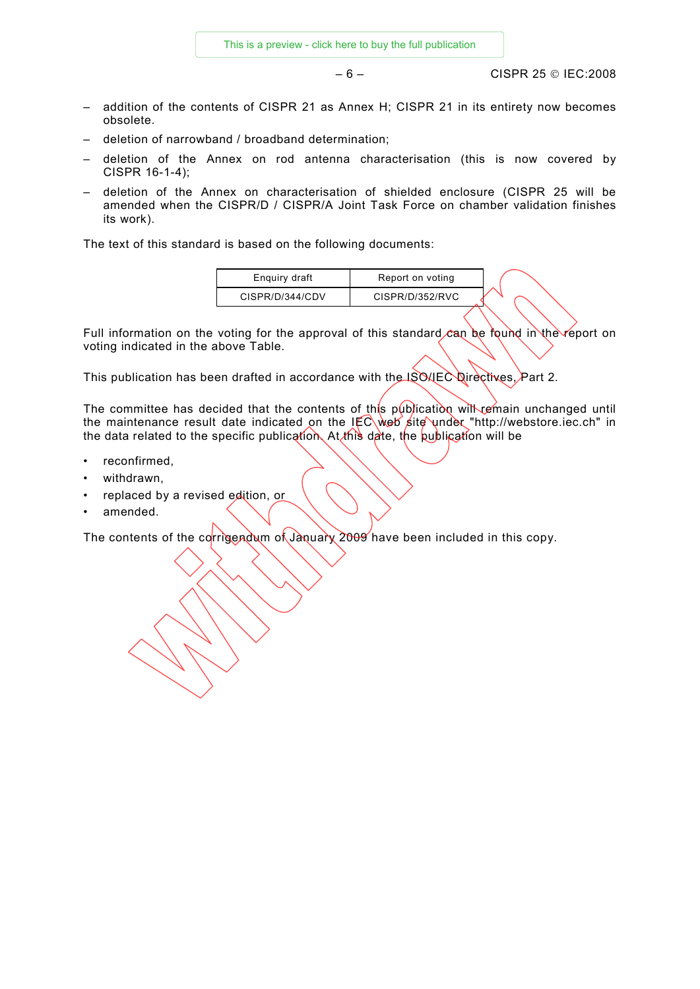– 6 – CISPR 25 © IEC:2008

- addition of the contents of CISPR 21 as Annex H; CISPR 21 in its entirety now becomes obsolete.
- deletion of narrowband / broadband determination;
- deletion of the Annex on rod antenna characterisation (this is now covered by CISPR 16-1-4);
- deletion of the Annex on characterisation of shielded enclosure (CISPR 25 will be amended when the CISPR/D / CISPR/A Joint Task Force on chamber validation finishes its work).

The text of this standard is based on the following documents:

| Enguiry draft   | Report on voting |  |
|-----------------|------------------|--|
| CISPR/D/344/CDV | CISPR/D/352/RVC  |  |

Full information on the voting for the approval of this standard can be found in the report on voting indicated in the above Table.

This publication has been drafted in accordance with the ISO/IEC Directives, Part 2.

The committee has decided that the contents of this publication will remain unchanged until the maintenance result date indicated on the IEC web site under "http://webstore.iec.ch" in the data related to the specific publication. At this date, the publication will be

- reconfirmed,
- withdrawn.
- replaced by a revised edition, or
- amended.

The contents of the corrigendum of January 2009 have been included in this copy.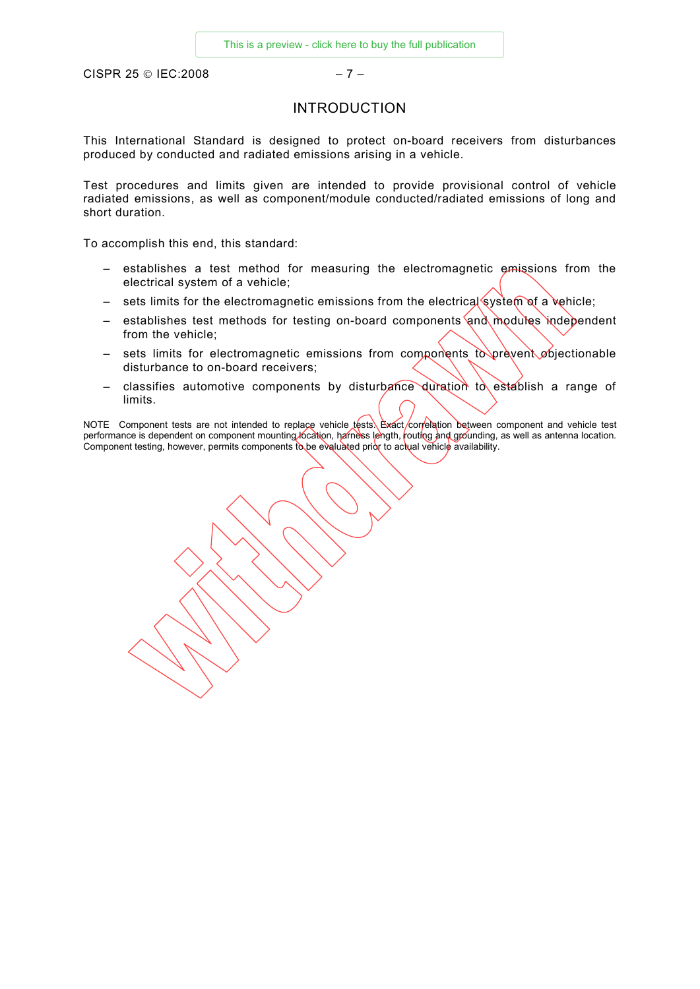<span id="page-6-0"></span> $CISPR 25 @ IEC:2008$   $-7-$ 

## INTRODUCTION

This International Standard is designed to protect on-board receivers from disturbances produced by conducted and radiated emissions arising in a vehicle.

Test procedures and limits given are intended to provide provisional control of vehicle radiated emissions, as well as component/module conducted/radiated emissions of long and short duration.

To accomplish this end, this standard:

- establishes a test method for measuring the electromagnetic emissions from the electrical system of a vehicle;
- sets limits for the electromagnetic emissions from the electrical system of a vehicle;
- establishes test methods for testing on-board components and modules independent from the vehicle;
- $-$  sets limits for electromagnetic emissions from components to prevent objectionable disturbance to on-board receivers;
- classifies automotive components by disturbance duration to establish a range of limits.

NOTE Component tests are not intended to replace vehicle tests. Exact/correlation between component and vehicle test performance is dependent on component mounting *location*, harness length, routing and grounding, as well as antenna location. Component testing, however, permits components to be evaluated prior to actual vehicle availability.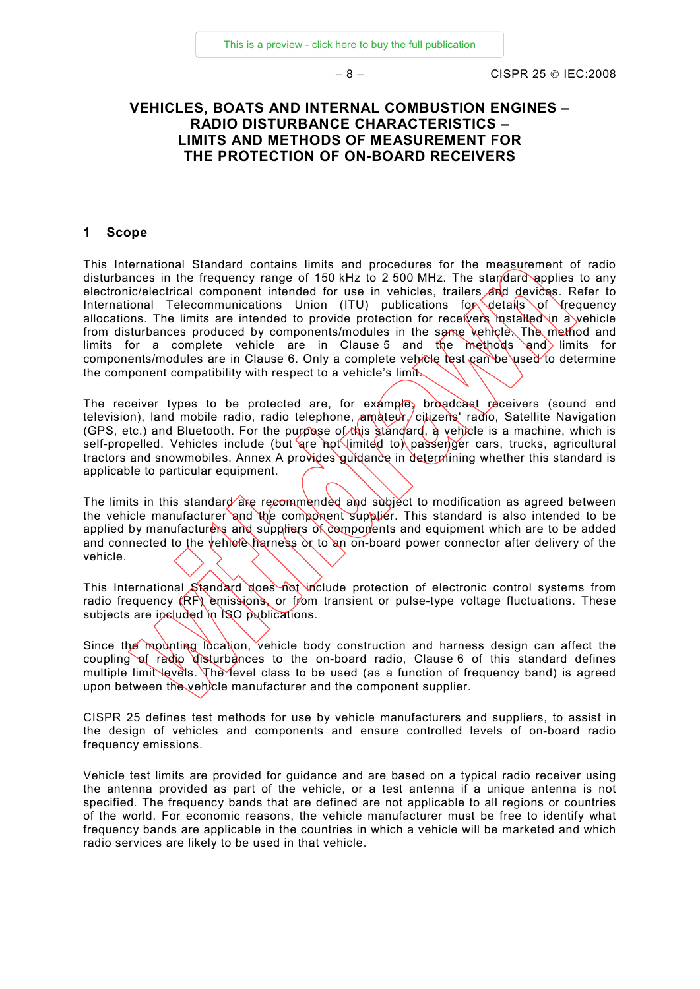## <span id="page-7-0"></span>**VEHICLES, BOATS AND INTERNAL COMBUSTION ENGINES – RADIO DISTURBANCE CHARACTERISTICS – LIMITS AND METHODS OF MEASUREMENT FOR THE PROTECTION OF ON-BOARD RECEIVERS**

#### **1 Scope**

This International Standard contains limits and procedures for the measurement of radio disturbances in the frequency range of 150 kHz to 2 500 MHz. The standard applies to any electronic/electrical component intended for use in vehicles, trailers and devices. Refer to International Telecommunications Union (ITU) publications for details of frequency allocations. The limits are intended to provide protection for receivers installed in a vehicle from disturbances produced by components/modules in the same vehicle. The method and limits for a complete vehicle are in Clause 5 and the methods and limits for components/modules are in Clause 6. Only a complete vehicle test can be used to determine the component compatibility with respect to a vehicle's limit.

The receiver types to be protected are, for example, broadcast receivers (sound and television), land mobile radio, radio telephone, amateur, citizens' radio, Satellite Navigation (GPS, etc.) and Bluetooth. For the purpose of this standard, a vehicle is a machine, which is self-propelled. Vehicles include (but are not limited to) passenger cars, trucks, agricultural tractors and snowmobiles. Annex A provides guidance in determining whether this standard is applicable to particular equipment.

The limits in this standard are recommended and subject to modification as agreed between the vehicle manufacturer and the component supplier. This standard is also intended to be applied by manufacturers and suppliers of components and equipment which are to be added and connected to the vehicle harness or to an on-board power connector after delivery of the vehicle.

This International Standard does not include protection of electronic control systems from radio frequency  $(RF)$  emissions, or from transient or pulse-type voltage fluctuations. These subjects are included in ISO publications.

Since the mounting location, vehicle body construction and harness design can affect the coupling of radio disturbances to the on-board radio, Clause 6 of this standard defines multiple limit levels. The level class to be used (as a function of frequency band) is agreed upon between the vehicle manufacturer and the component supplier.

CISPR 25 defines test methods for use by vehicle manufacturers and suppliers, to assist in the design of vehicles and components and ensure controlled levels of on-board radio frequency emissions.

Vehicle test limits are provided for guidance and are based on a typical radio receiver using the antenna provided as part of the vehicle, or a test antenna if a unique antenna is not specified. The frequency bands that are defined are not applicable to all regions or countries of the world. For economic reasons, the vehicle manufacturer must be free to identify what frequency bands are applicable in the countries in which a vehicle will be marketed and which radio services are likely to be used in that vehicle.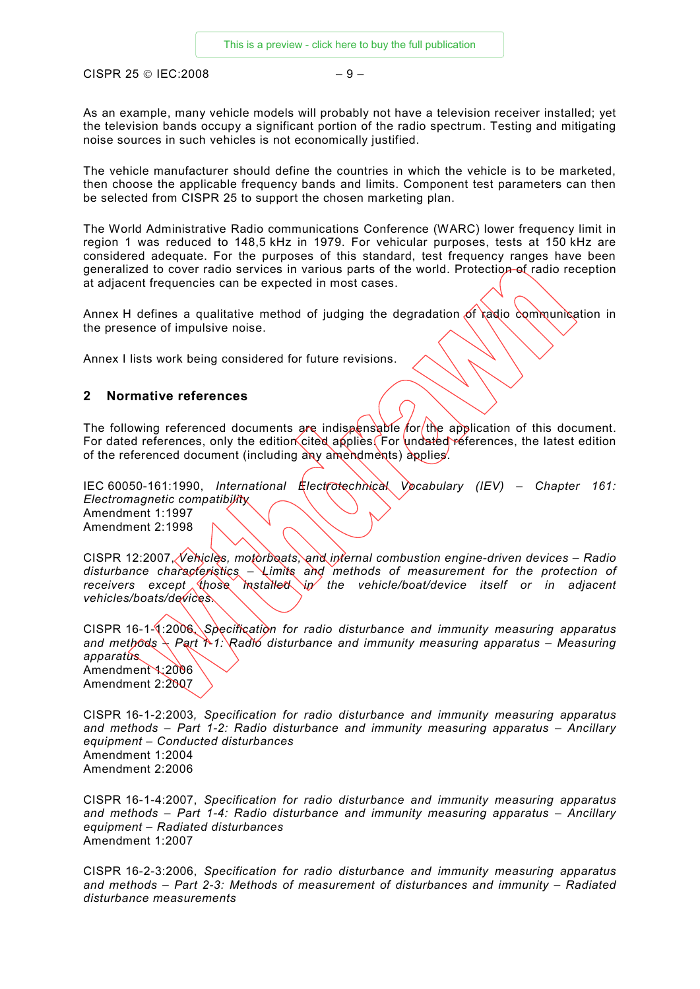<span id="page-8-0"></span> $CISPR 25 @ IFC:2008 = 9 -$ 

As an example, many vehicle models will probably not have a television receiver installed; yet the television bands occupy a significant portion of the radio spectrum. Testing and mitigating noise sources in such vehicles is not economically justified.

The vehicle manufacturer should define the countries in which the vehicle is to be marketed, then choose the applicable frequency bands and limits. Component test parameters can then be selected from CISPR 25 to support the chosen marketing plan.

The World Administrative Radio communications Conference (WARC) lower frequency limit in region 1 was reduced to 148,5 kHz in 1979. For vehicular purposes, tests at 150 kHz are considered adequate. For the purposes of this standard, test frequency ranges have been generalized to cover radio services in various parts of the world. Protection of radio reception at adjacent frequencies can be expected in most cases.

Annex H defines a qualitative method of judging the degradation of radio communication in the presence of impulsive noise.

Annex I lists work being considered for future revisions.

#### **2 Normative references**

The following referenced documents are indispensable for the application of this document. For dated references, only the edition cited applies. For undated references, the latest edition of the referenced document (including any amendments) applies.

IEC 60050-161:1990, *International Electrotechnical Vocabulary (IEV) – Chapter 161: Electromagnetic compatibility*  Amendment 1:1997 Amendment 2:1998

CISPR 12:2007, *Vehicles, motorboats, and internal combustion engine-driven devices – Radio disturbance characteristics – Limits and methods of measurement for the protection of*  receivers except those installed in the vehicle/boat/device itself or in adjacent *vehicles/boats/devices.*

CISPR 16-1-1:2006, *Specification for radio disturbance and immunity measuring apparatus and methods – Part 1-1: Radio disturbance and immunity measuring apparatus – Measuring apparatus*  Amendment 1:2006 Amendment 2:2007

CISPR 16-1-2:2003*, Specification for radio disturbance and immunity measuring apparatus and methods – Part 1-2: Radio disturbance and immunity measuring apparatus – Ancillary equipment – Conducted disturbances*  Amendment 1:2004 Amendment 2:2006

CISPR 16-1-4:2007, *Specification for radio disturbance and immunity measuring apparatus and methods – Part 1-4: Radio disturbance and immunity measuring apparatus – Ancillary equipment – Radiated disturbances*  Amendment 1:2007

CISPR 16-2-3:2006, *Specification for radio disturbance and immunity measuring apparatus and methods – Part 2-3: Methods of measurement of disturbances and immunity – Radiated disturbance measurements*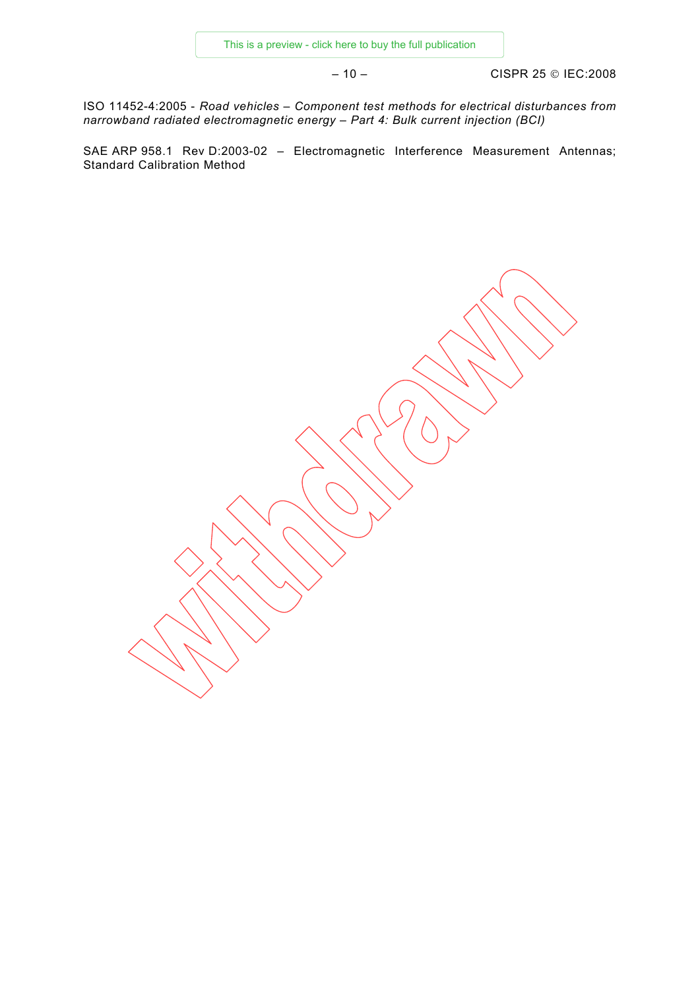– 10 – CISPR 25 © IEC:2008

<span id="page-9-0"></span>ISO 11452-4:2005 - *Road vehicles – Component test methods for electrical disturbances from narrowband radiated electromagnetic energy – Part 4: Bulk current injection (BCI)* 

SAE ARP 958.1 Rev D:2003-02 – Electromagnetic Interference Measurement Antennas; Standard Calibration Method

shielded enclosure/screened room with radio frequency-absorbing material on its internal on its internal on its internal on its internal on its internal on its internal on its internal on its internal on its internal on i the factor which is applied to the voltage measured at the input connector of the measured at the measuring  $\ell \searrow \ell \searrow \ell$ a unit for matching the impedance of an antenna to that of the 50 Ω measuring instrument over the antenna measuring frequency range from  $\mathcal{N}(\mathcal{N})$ a performance level agreed upon by the purchaser and the supplier and the supplier and documented in the supplier and documented in the supplier and documentation of the supplier and documentation of the supplier and docu **component continuous conducted emissions**  the noise voltages/currents of a steady-state nature existing on the supply or other leads of a steady-state nature  $\sim$ component which may cause disturbance to reception in an on-board reception in an on-board reception in an on- $\lambda$ the input signal level at which the measuring system becomes non-linear system becomes non-linear such that  $\alpha$ the indicated output deviates from an ideal linear receiving system in  $\mathcal{N}$ increment in dB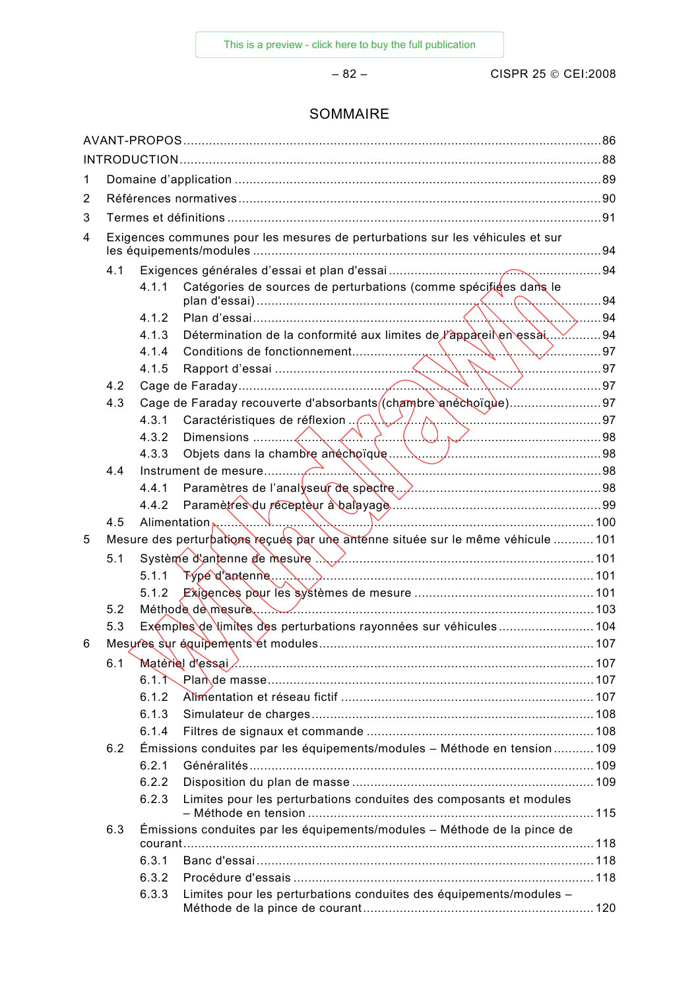– 82 – CISPR 25 © CEI:2008

# SOMMAIRE

| 1 |     |                |                                                                                                                                                                                                                                                                                                                                                                                                                                                                                                                                                    |       |  |
|---|-----|----------------|----------------------------------------------------------------------------------------------------------------------------------------------------------------------------------------------------------------------------------------------------------------------------------------------------------------------------------------------------------------------------------------------------------------------------------------------------------------------------------------------------------------------------------------------------|-------|--|
| 2 |     |                |                                                                                                                                                                                                                                                                                                                                                                                                                                                                                                                                                    |       |  |
| 3 |     |                |                                                                                                                                                                                                                                                                                                                                                                                                                                                                                                                                                    |       |  |
| 4 |     |                | Exigences communes pour les mesures de perturbations sur les véhicules et sur                                                                                                                                                                                                                                                                                                                                                                                                                                                                      |       |  |
|   |     |                |                                                                                                                                                                                                                                                                                                                                                                                                                                                                                                                                                    |       |  |
|   | 4.1 |                |                                                                                                                                                                                                                                                                                                                                                                                                                                                                                                                                                    |       |  |
|   |     | 4.1.1          | Catégories de sources de perturbations (comme spécifiées dans le                                                                                                                                                                                                                                                                                                                                                                                                                                                                                   | 1. 94 |  |
|   |     | 4.1.2          |                                                                                                                                                                                                                                                                                                                                                                                                                                                                                                                                                    | 、……94 |  |
|   |     | 4.1.3          | Détermination de la conformité aux limites de l'appareilen essai94                                                                                                                                                                                                                                                                                                                                                                                                                                                                                 |       |  |
|   |     | 4.1.4          | <u>、/</u> 97                                                                                                                                                                                                                                                                                                                                                                                                                                                                                                                                       |       |  |
|   |     | 4.1.5          |                                                                                                                                                                                                                                                                                                                                                                                                                                                                                                                                                    |       |  |
|   | 4.2 |                | $\vee$ 97<br>$\sum_{i=1}^n$                                                                                                                                                                                                                                                                                                                                                                                                                                                                                                                        |       |  |
|   | 4.3 |                |                                                                                                                                                                                                                                                                                                                                                                                                                                                                                                                                                    |       |  |
|   |     | 4.3.1          |                                                                                                                                                                                                                                                                                                                                                                                                                                                                                                                                                    |       |  |
|   |     | 4.3.2          | $\left(\begin{array}{c}\end{array}\right)$ $\left(\begin{array}{c}\end{array}\right)$ $\left(\begin{array}{c}\end{array}\right)$ $\left(\begin{array}{c}\end{array}\right)$ $\left(\begin{array}{c}\end{array}\right)$ $\left(\begin{array}{c}\end{array}\right)$ $\left(\begin{array}{c}\end{array}\right)$ $\left(\begin{array}{c}\end{array}\right)$ $\left(\begin{array}{c}\end{array}\right)$ $\left(\begin{array}{c}\end{array}\right)$ $\left(\begin{array}{c}\end{array}\right)$ $\left(\begin{array}{c}\end{array}\right)$ $\left(\begin$ |       |  |
|   |     | 4.3.3          |                                                                                                                                                                                                                                                                                                                                                                                                                                                                                                                                                    |       |  |
|   | 4.4 |                |                                                                                                                                                                                                                                                                                                                                                                                                                                                                                                                                                    |       |  |
|   |     | 4.4.1          |                                                                                                                                                                                                                                                                                                                                                                                                                                                                                                                                                    |       |  |
|   |     | 4.4.2          |                                                                                                                                                                                                                                                                                                                                                                                                                                                                                                                                                    |       |  |
|   | 4.5 |                | Alimentation $\ldots$                                                                                                                                                                                                                                                                                                                                                                                                                                                                                                                              |       |  |
| 5 |     |                | Mesure des perturbations reçues par une antenne située sur le même véhicule  101                                                                                                                                                                                                                                                                                                                                                                                                                                                                   |       |  |
|   | 5.1 |                |                                                                                                                                                                                                                                                                                                                                                                                                                                                                                                                                                    |       |  |
|   |     | 5.1.1          | Type d'antenne (Allen Landen)                                                                                                                                                                                                                                                                                                                                                                                                                                                                                                                      |       |  |
|   |     | 5.1.2          |                                                                                                                                                                                                                                                                                                                                                                                                                                                                                                                                                    |       |  |
|   | 5.2 |                | Méthode de mesure 103                                                                                                                                                                                                                                                                                                                                                                                                                                                                                                                              |       |  |
|   | 5.3 |                | Exémples de limites des perturbations rayonnées sur véhicules 104                                                                                                                                                                                                                                                                                                                                                                                                                                                                                  |       |  |
| 6 |     |                |                                                                                                                                                                                                                                                                                                                                                                                                                                                                                                                                                    |       |  |
|   | 6.1 |                | Matériel d'essai کسیست ۲۵۵٬۰۰۰ میں استعماد اللہ علیہ اللہ علیہ اللہ علیہ اللہ علیہ اللہ علیہ اللہ عل                                                                                                                                                                                                                                                                                                                                                                                                                                               |       |  |
|   |     |                |                                                                                                                                                                                                                                                                                                                                                                                                                                                                                                                                                    |       |  |
|   |     | 6.1.2          |                                                                                                                                                                                                                                                                                                                                                                                                                                                                                                                                                    |       |  |
|   |     | 6.1.3          |                                                                                                                                                                                                                                                                                                                                                                                                                                                                                                                                                    |       |  |
|   |     | 6.1.4          |                                                                                                                                                                                                                                                                                                                                                                                                                                                                                                                                                    |       |  |
|   | 6.2 |                | Émissions conduites par les équipements/modules - Méthode en tension 109                                                                                                                                                                                                                                                                                                                                                                                                                                                                           |       |  |
|   |     | 6.2.1          |                                                                                                                                                                                                                                                                                                                                                                                                                                                                                                                                                    |       |  |
|   |     | 6.2.2<br>6.2.3 | Limites pour les perturbations conduites des composants et modules                                                                                                                                                                                                                                                                                                                                                                                                                                                                                 |       |  |
|   |     |                |                                                                                                                                                                                                                                                                                                                                                                                                                                                                                                                                                    |       |  |
|   | 6.3 |                | Émissions conduites par les équipements/modules - Méthode de la pince de                                                                                                                                                                                                                                                                                                                                                                                                                                                                           |       |  |
|   |     | 6.3.1          |                                                                                                                                                                                                                                                                                                                                                                                                                                                                                                                                                    |       |  |
|   |     | 6.3.2          |                                                                                                                                                                                                                                                                                                                                                                                                                                                                                                                                                    |       |  |
|   |     | 6.3.3          | Limites pour les perturbations conduites des équipements/modules -                                                                                                                                                                                                                                                                                                                                                                                                                                                                                 |       |  |
|   |     |                |                                                                                                                                                                                                                                                                                                                                                                                                                                                                                                                                                    |       |  |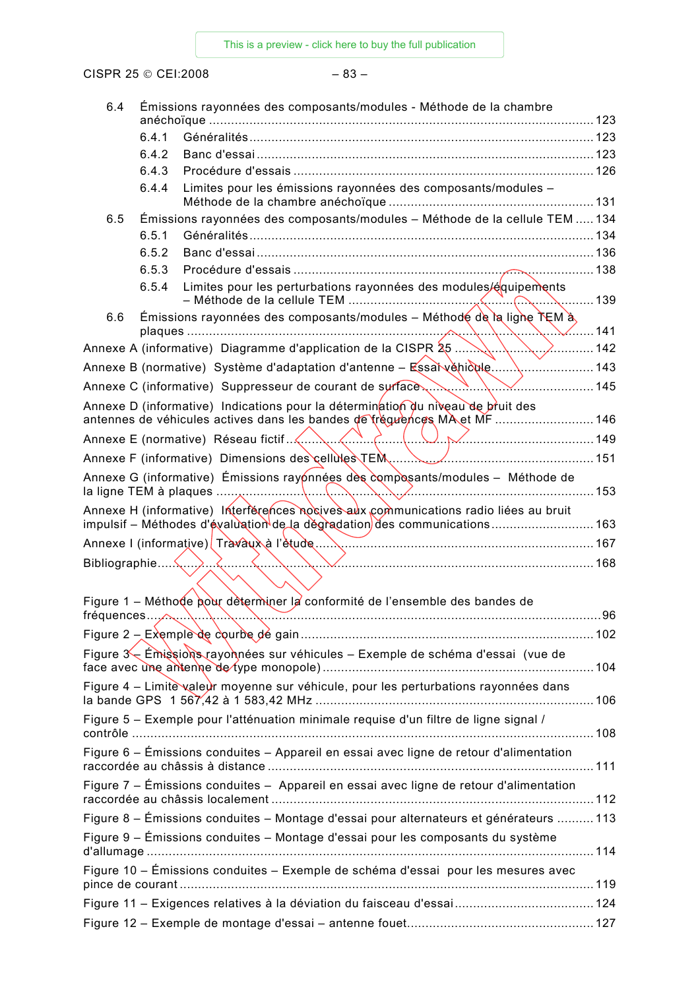CISPR 25 © CEI:2008 – 83 –

| 6.4           |                        | Émissions rayonnées des composants/modules - Méthode de la chambre                                                                                                |     |
|---------------|------------------------|-------------------------------------------------------------------------------------------------------------------------------------------------------------------|-----|
|               | 6.4.1                  |                                                                                                                                                                   |     |
|               | 6.4.2                  |                                                                                                                                                                   |     |
|               | 6.4.3                  |                                                                                                                                                                   |     |
|               | 6.4.4                  | Limites pour les émissions rayonnées des composants/modules -                                                                                                     |     |
| 6.5           |                        | Émissions rayonnées des composants/modules - Méthode de la cellule TEM  134                                                                                       |     |
|               | 6.5.1                  |                                                                                                                                                                   |     |
|               | 6.5.2                  |                                                                                                                                                                   |     |
|               | 6.5.3                  |                                                                                                                                                                   |     |
|               | 6.5.4                  | Limites pour les perturbations rayonnées des modules/équipements                                                                                                  | 139 |
| 6.6           |                        | Émissions rayonnées des composants/modules - Méthode de la ligne TEM à                                                                                            | 141 |
|               |                        | Annexe A (informative) Diagramme d'application de la CISPR 25                                                                                                     | 142 |
|               |                        | Annexe B (normative) Système d'adaptation d'antenne - Essaivéhicule<br>. 143                                                                                      |     |
|               |                        | Annexe C (informative) Suppresseur de courant de surface                                                                                                          |     |
|               |                        | Annexe D (informative) Indications pour la détermination du niveau de pruit des<br>antennes de véhicules actives dans les bandes de tréquences MA et MF  146      |     |
|               |                        |                                                                                                                                                                   |     |
|               |                        |                                                                                                                                                                   |     |
|               |                        | Annexe G (informative) Émissions rayonnées des composants/modules – Méthode de                                                                                    |     |
|               | la ligne TEM à plaques |                                                                                                                                                                   |     |
|               |                        | Annexe H (informative) Interférences nosives aux communications radio liées au bruit<br>impulsif – Méthodes d'évaluation de la dégradation des communications 163 |     |
|               |                        |                                                                                                                                                                   |     |
| Bibliographie |                        |                                                                                                                                                                   |     |
|               |                        |                                                                                                                                                                   |     |
|               | fréquences             | Figure 1 – Méthode pour déterminer la conformité de l'ensemble des bandes de                                                                                      | 96  |
|               |                        |                                                                                                                                                                   |     |
|               |                        | Figure 3< Emissions rayonnées sur véhicules - Exemple de schéma d'essai (vue de                                                                                   |     |
|               |                        | Figure 4 – Limite valeur moyenne sur véhicule, pour les perturbations rayonnées dans                                                                              |     |
|               |                        | Figure 5 - Exemple pour l'atténuation minimale requise d'un filtre de ligne signal /                                                                              |     |
|               |                        | Figure 6 - Émissions conduites - Appareil en essai avec ligne de retour d'alimentation                                                                            |     |
|               |                        | Figure 7 – Émissions conduites – Appareil en essai avec ligne de retour d'alimentation                                                                            |     |
|               |                        | Figure 8 - Émissions conduites - Montage d'essai pour alternateurs et générateurs  113                                                                            |     |
|               |                        | Figure 9 – Émissions conduites – Montage d'essai pour les composants du système                                                                                   |     |
|               |                        | Figure 10 - Émissions conduites - Exemple de schéma d'essai pour les mesures avec                                                                                 |     |
|               |                        |                                                                                                                                                                   |     |
|               |                        |                                                                                                                                                                   |     |
|               |                        |                                                                                                                                                                   |     |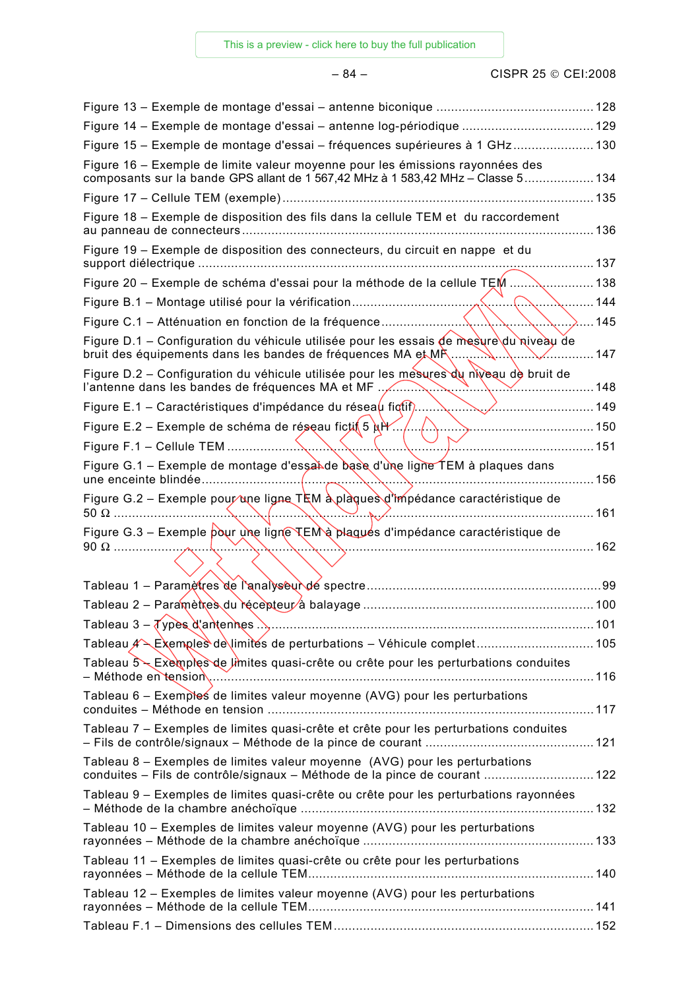| Figure 14 - Exemple de montage d'essai - antenne log-périodique  129                                                                                              |       |
|-------------------------------------------------------------------------------------------------------------------------------------------------------------------|-------|
| Figure 15 - Exemple de montage d'essai - fréquences supérieures à 1 GHz 130                                                                                       |       |
| Figure 16 - Exemple de limite valeur moyenne pour les émissions rayonnées des<br>composants sur la bande GPS allant de 1 567,42 MHz à 1 583,42 MHz - Classe 5 134 |       |
|                                                                                                                                                                   |       |
| Figure 18 – Exemple de disposition des fils dans la cellule TEM et du raccordement                                                                                |       |
| Figure 19 – Exemple de disposition des connecteurs, du circuit en nappe et du                                                                                     |       |
| Figure 20 – Exemple de schéma d'essai pour la méthode de la cellule TEM  138                                                                                      |       |
| $\sim$ 144                                                                                                                                                        |       |
|                                                                                                                                                                   |       |
| Figure D.1 – Configuration du véhicule utilisée pour les essais de mesure du niveau de<br>bruit des équipements dans les bandes de fréquences MA et MR.           | . 147 |
| Figure D.2 – Configuration du véhicule utilisée pour les mesures du nive au de bruit de<br>l'antenne dans les bandes de fréquences MA et MF                       |       |
|                                                                                                                                                                   |       |
| Figure E.2 - Exemple de schéma de réseau fictif 5 uH                                                                                                              |       |
| Figure F.1 - Cellule TEM                                                                                                                                          |       |
| Figure G.1 - Exemple de montage d'essabde base d'une ligne TEM à plaques dans                                                                                     |       |
| Figure G.2 – Exemple pour une ligne TEM a plaques d'impédance caractéristique de                                                                                  |       |
| Figure G.3 – Exemple pour une ligne LEM à plaqués d'impédance caractéristique de<br>90 $\Omega$                                                                   |       |
|                                                                                                                                                                   |       |
|                                                                                                                                                                   |       |
|                                                                                                                                                                   |       |
|                                                                                                                                                                   |       |
| Tableau 4 Exemples de limités de perturbations - Véhicule complet 105                                                                                             |       |
| Tableau 5 Exemples de limites quasi-crête ou crête pour les perturbations conduites                                                                               |       |
| Tableau 6 – Exemples de limites valeur moyenne (AVG) pour les perturbations                                                                                       |       |
|                                                                                                                                                                   |       |
| Tableau 7 - Exemples de limites quasi-crête et crête pour les perturbations conduites                                                                             |       |
| Tableau 8 – Exemples de limites valeur moyenne (AVG) pour les perturbations<br>conduites - Fils de contrôle/signaux - Méthode de la pince de courant  122         |       |
| Tableau 9 - Exemples de limites quasi-crête ou crête pour les perturbations rayonnées                                                                             |       |
| Tableau 10 - Exemples de limites valeur moyenne (AVG) pour les perturbations                                                                                      |       |
| Tableau 11 – Exemples de limites quasi-crête ou crête pour les perturbations                                                                                      |       |
| Tableau 12 - Exemples de limites valeur moyenne (AVG) pour les perturbations                                                                                      |       |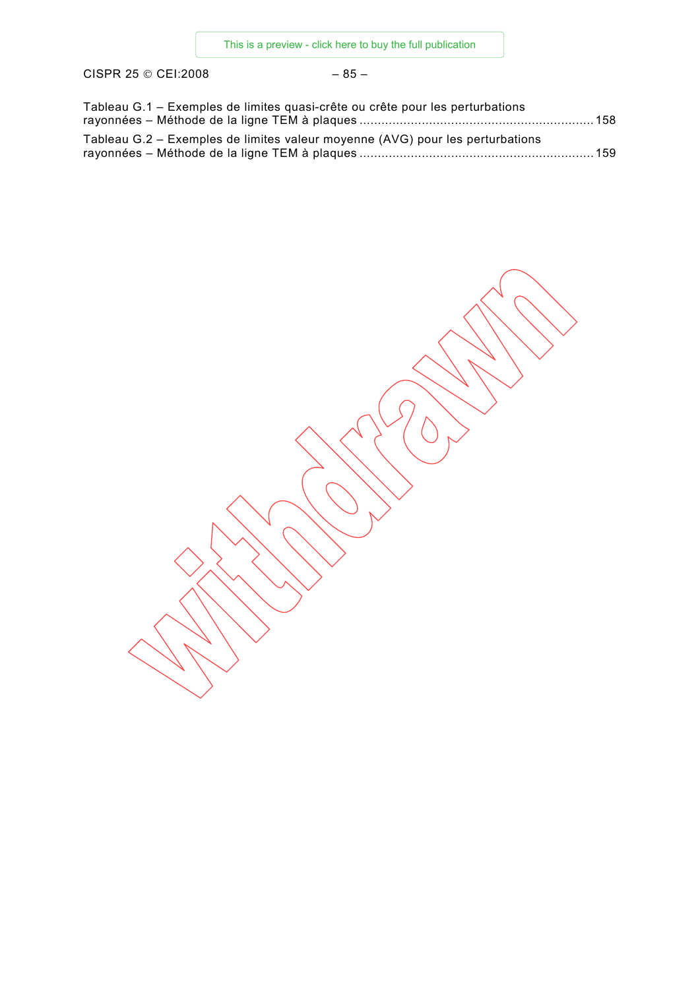CISPR 25 © CEI:2008 – 85 –

| Tableau G.1 – Exemples de limites quasi-crête ou crête pour les perturbations |  |
|-------------------------------------------------------------------------------|--|
| Tableau G.2 - Exemples de limites valeur moyenne (AVG) pour les perturbations |  |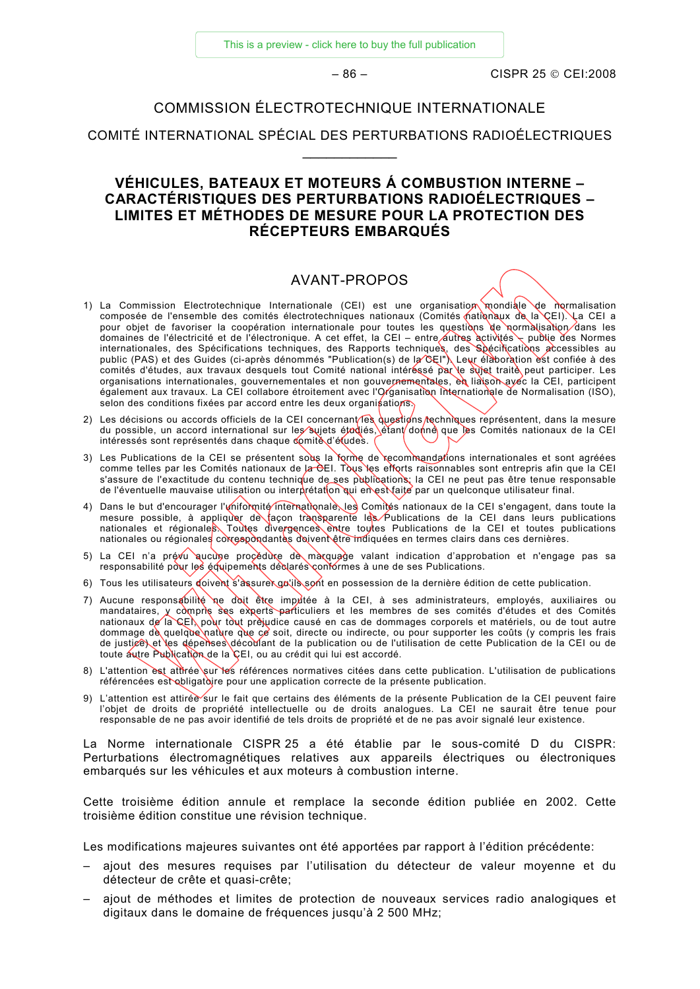# COMMISSION ÉLECTROTECHNIQUE INTERNATIONALE

<span id="page-14-0"></span>COMITÉ INTERNATIONAL SPÉCIAL DES PERTURBATIONS RADIOÉLECTRIQUES  $\frac{1}{2}$  ,  $\frac{1}{2}$  ,  $\frac{1}{2}$  ,  $\frac{1}{2}$  ,  $\frac{1}{2}$  ,  $\frac{1}{2}$ 

# **VÉHICULES, BATEAUX ET MOTEURS Á COMBUSTION INTERNE – CARACTÉRISTIQUES DES PERTURBATIONS RADIOÉLECTRIQUES – LIMITES ET MÉTHODES DE MESURE POUR LA PROTECTION DES RÉCEPTEURS EMBARQUÉS**

### AVANT-PROPOS

- 1) La Commission Electrotechnique Internationale (CEI) est une organisation mondiale de normalisation composée de l'ensemble des comités électrotechniques nationaux (Comités nationaux de la CEI). La CEI a pour objet de favoriser la coopération internationale pour toutes les questions de normalisation dans les domaines de l'électricité et de l'électronique. A cet effet, la CEI – entre autres activités – publie des Normes internationales, des Spécifications techniques, des Rapports techniques, des Spécifications accessibles au public (PAS) et des Guides (ci-après dénommés "Publication(s) de la CEI"). Leur élaboration est confiée à des comités d'études, aux travaux desquels tout Comité national intéressé par le sujet traité peut participer. Les organisations internationales, gouvernementales et non gouvernementales, en liaison avec la CEI, participent également aux travaux. La CEI collabore étroitement avec l'Organisation Internationale de Normalisation (ISO), selon des conditions fixées par accord entre les deux organisations.
- 2) Les décisions ou accords officiels de la CEI concernant les questions rechniques représentent, dans la mesure du possible, un accord international sur les sujets étudiés, étant donné que les Comités nationaux de la CEI intéressés sont représentés dans chaque comité d'études.
- 3) Les Publications de la CEI se présentent sous la forme de recommandations internationales et sont agréées comme telles par les Comités nationaux de la CEI. Tous les efforts raisonnables sont entrepris afin que la CEI s'assure de l'exactitude du contenu technique de ses publications; la CEI ne peut pas être tenue responsable de l'éventuelle mauvaise utilisation ou interprétation qui en est faite par un quelconque utilisateur final.
- 4) Dans le but d'encourager l'uniformité internationale, les Comités nationaux de la CEI s'engagent, dans toute la mesure possible, à appliquer de façon transparente les Publications de la CEI dans leurs publications nationales et régionales. Toutes divergences entre toutes Publications de la CEI et toutes publications nationales ou régionales correspondantes doivent être indiquées en termes clairs dans ces dernières.
- 5) La CEI n'a prévu aucune procédure de marquage valant indication d'approbation et n'engage pas sa responsabilité pour les équipements déclarés conformes à une de ses Publications.
- 6) Tous les utilisateurs doivent s'assurer qu'ils sont en possession de la dernière édition de cette publication.
- 7) Aucune responsabilité ne doit être imputée à la CEI, à ses administrateurs, employés, auxiliaires ou mandataires, y compris ses experts particuliers et les membres de ses comités d'études et des Comités nationaux de la CEI, pour tout préjudice causé en cas de dommages corporels et matériels, ou de tout autre dommage de quelque nature que ce soit, directe ou indirecte, ou pour supporter les coûts (y compris les frais de justice) et les dépenses découlant de la publication ou de l'utilisation de cette Publication de la CEI ou de toute autre Publication de la CEI, ou au crédit qui lui est accordé.
- 8) L'attention est attrée sur les références normatives citées dans cette publication. L'utilisation de publications référencées est obligatoire pour une application correcte de la présente publication.
- 9) L'attention est attirée sur le fait que certains des éléments de la présente Publication de la CEI peuvent faire l'objet de droits de propriété intellectuelle ou de droits analogues. La CEI ne saurait être tenue pour responsable de ne pas avoir identifié de tels droits de propriété et de ne pas avoir signalé leur existence.

La Norme internationale CISPR 25 a été établie par le sous-comité D du CISPR: Perturbations électromagnétiques relatives aux appareils électriques ou électroniques embarqués sur les véhicules et aux moteurs à combustion interne.

Cette troisième édition annule et remplace la seconde édition publiée en 2002. Cette troisième édition constitue une révision technique.

Les modifications majeures suivantes ont été apportées par rapport à l'édition précédente:

- ajout des mesures requises par l'utilisation du détecteur de valeur moyenne et du détecteur de crête et quasi-crête;
- ajout de méthodes et limites de protection de nouveaux services radio analogiques et digitaux dans le domaine de fréquences jusqu'à 2 500 MHz;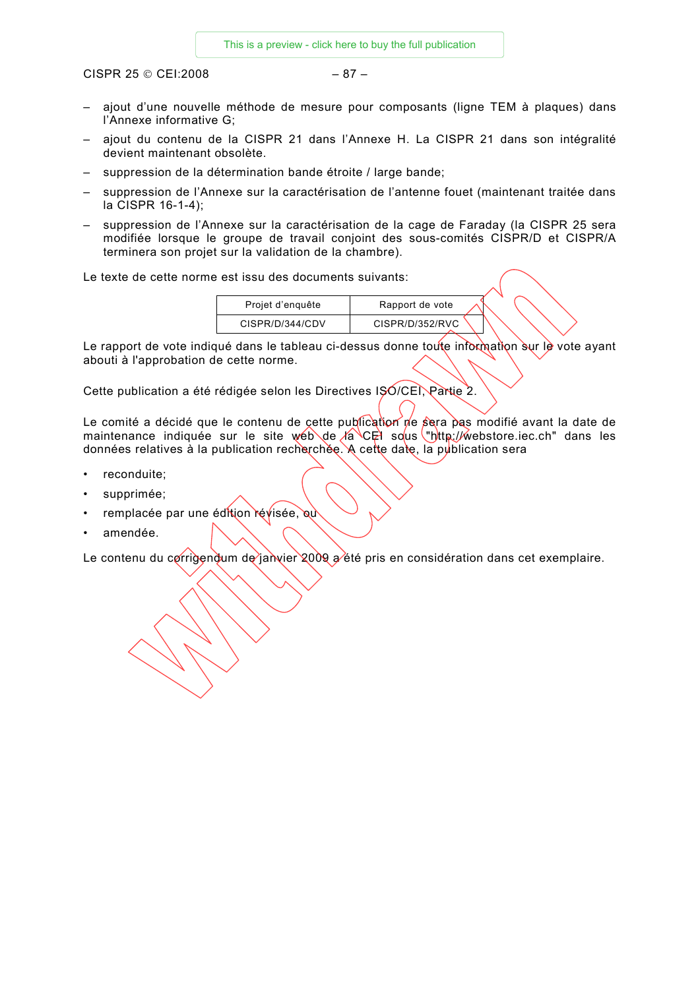$CISPR 25 © CE1:2008$  – 87 –

- ajout d'une nouvelle méthode de mesure pour composants (ligne TEM à plaques) dans l'Annexe informative G;
- ajout du contenu de la CISPR 21 dans l'Annexe H. La CISPR 21 dans son intégralité devient maintenant obsolète.
- suppression de la détermination bande étroite / large bande;
- suppression de l'Annexe sur la caractérisation de l'antenne fouet (maintenant traitée dans la CISPR 16-1-4);
- suppression de l'Annexe sur la caractérisation de la cage de Faraday (la CISPR 25 sera modifiée lorsque le groupe de travail conjoint des sous-comités CISPR/D et CISPR/A terminera son projet sur la validation de la chambre).

Le texte de cette norme est issu des documents suivants:

| Projet d'enquête | Rapport de vote |  |
|------------------|-----------------|--|
| CISPR/D/344/CDV  | CISPR/D/352/RVC |  |

Le rapport de vote indiqué dans le tableau ci-dessus donne toute information sur le vote ayant abouti à l'approbation de cette norme.

Cette publication a été rédigée selon les Directives ISO/CEI, Partie 2.

Le comité a décidé que le contenu de cette publication ne sera pas modifié avant la date de maintenance indiquée sur le site wéb de *la* CEI sous "http://webstore.iec.ch" dans les données relatives à la publication recherchée. A cette date, la publication sera

- reconduite:
- supprimée;
- remplacée par une édition révisée, ou
- amendée.

Le contenu du corrigendum de janvier 2009 a été pris en considération dans cet exemplaire.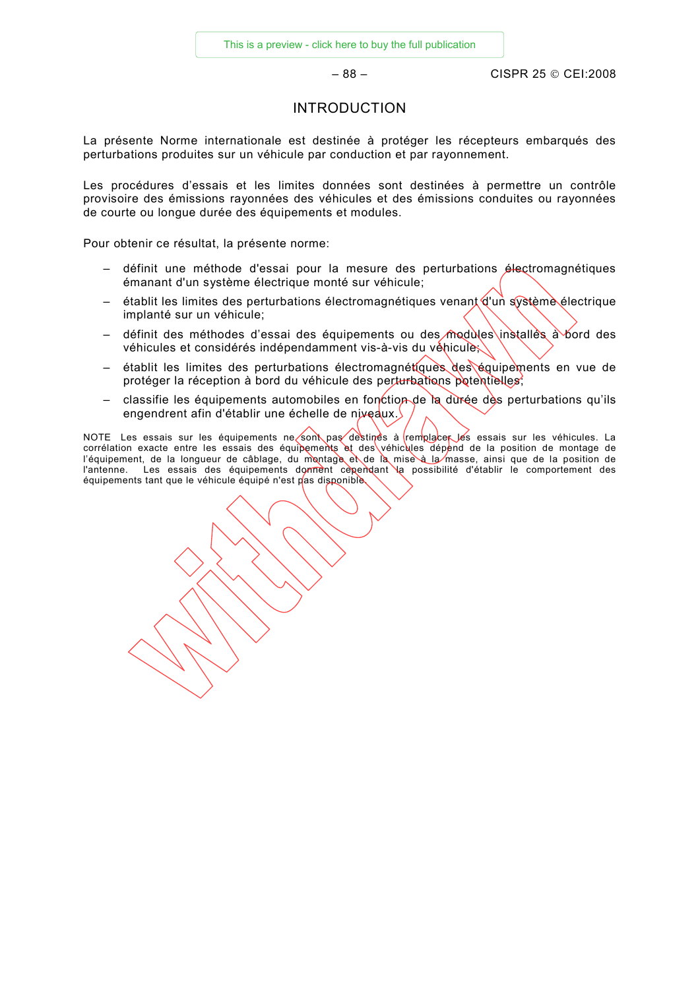– 88 – CISPR 25 © CEI:2008

### INTRODUCTION

<span id="page-16-0"></span>La présente Norme internationale est destinée à protéger les récepteurs embarqués des perturbations produites sur un véhicule par conduction et par rayonnement.

Les procédures d'essais et les limites données sont destinées à permettre un contrôle provisoire des émissions rayonnées des véhicules et des émissions conduites ou rayonnées de courte ou longue durée des équipements et modules.

Pour obtenir ce résultat, la présente norme:

- définit une méthode d'essai pour la mesure des perturbations électromagnétiques émanant d'un système électrique monté sur véhicule;
- établit les limites des perturbations électromagnétiques venant d'un système électrique implanté sur un véhicule;
- définit des méthodes d'essai des équipements ou des modules installés à bord des véhicules et considérés indépendamment vis-à-vis du véhicule;
- établit les limites des perturbations électromagnétiques des équipements en vue de protéger la réception à bord du véhicule des perturbations potentielles?
- classifie les équipements automobiles en fonction de la durée des perturbations qu'ils engendrent afin d'établir une échelle de niveaux.

NOTE Les essais sur les équipements ne sont pas destinés à remplacer les essais sur les véhicules. La corrélation exacte entre les essais des équipements et des véhicules dépend de la position de montage de l'équipement, de la longueur de câblage, du montage et de la mise à la masse, ainsi que de la position de l'antenne. Les essais des équipements donnent cependant la possibilité d'établir le comportement des équipements tant que le véhicule équipé n'est pas disponible.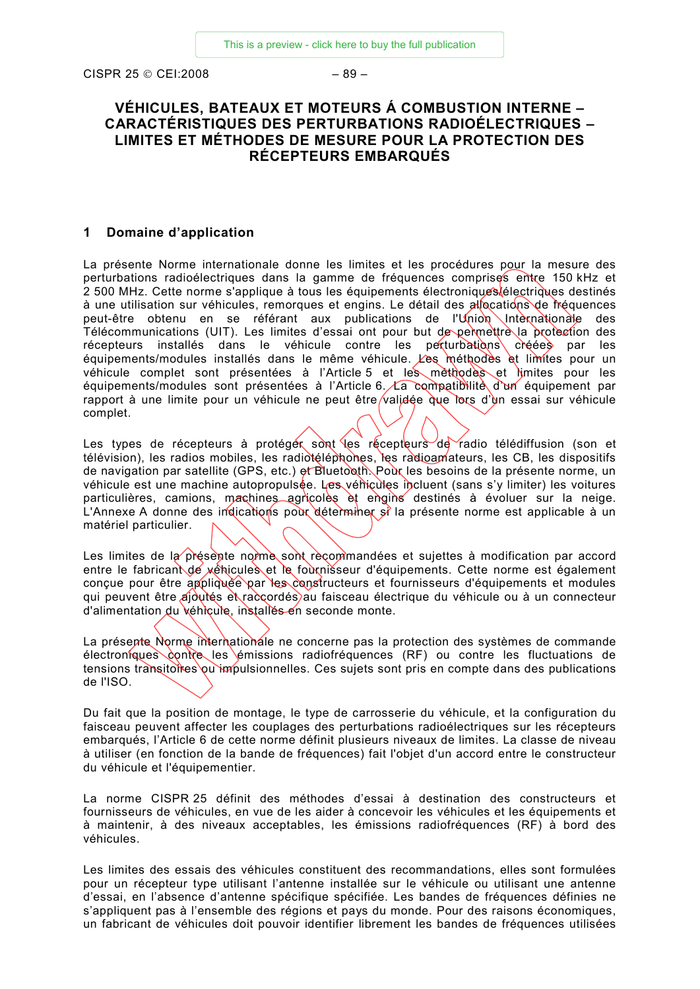<span id="page-17-0"></span> $CISPR 25 © CF1:2008$  – 89 –

# **VÉHICULES, BATEAUX ET MOTEURS Á COMBUSTION INTERNE – CARACTÉRISTIQUES DES PERTURBATIONS RADIOÉLECTRIQUES – LIMITES ET MÉTHODES DE MESURE POUR LA PROTECTION DES RÉCEPTEURS EMBARQUÉS**

#### **1 Domaine d'application**

La présente Norme internationale donne les limites et les procédures pour la mesure des perturbations radioélectriques dans la gamme de fréquences comprises entre 150 kHz et 2 500 MHz. Cette norme s'applique à tous les équipements électroniques/électriques destinés à une utilisation sur véhicules, remorques et engins. Le détail des allocations de fréquences peut-être obtenu en se référant aux publications de l'Union Internationale des Télécommunications (UIT). Les limites d'essai ont pour but de permettre la protection des récepteurs installés dans le véhicule contre les perturbations créées par les équipements/modules installés dans le même véhicule. Les méthodes et limites pour un véhicule complet sont présentées à l'Article 5 et les méthodes et limites pour les équipements/modules sont présentées à l'Article 6. La compatibilité d'un équipement par rapport à une limite pour un véhicule ne peut être/validée que lors d'un essai sur véhicule complet.

Les types de récepteurs à protéger sont les récepteurs de radio télédiffusion (son et télévision), les radios mobiles, les radiotéléphones, les radioamateurs, les CB, les dispositifs de navigation par satellite (GPS, etc.) et Bluetooth. Pour les besoins de la présente norme, un véhicule est une machine autopropulsée. Les véhicules incluent (sans s'y limiter) les voitures particulières, camions, machines agricoles et engins destinés à évoluer sur la neige. L'Annexe A donne des indications pour déterminer si la présente norme est applicable à un matériel particulier.

Les limites de la présente norme sont recommandées et sujettes à modification par accord entre le fabricant de véhicules et le fournisseur d'équipements. Cette norme est également conçue pour être appliquée par les constructeurs et fournisseurs d'équipements et modules qui peuvent être ajoutés et raccordés au faisceau électrique du véhicule ou à un connecteur d'alimentation du véhicule, installés en seconde monte.

La présente Norme internationale ne concerne pas la protection des systèmes de commande électroniques contre les émissions radiofréquences (RF) ou contre les fluctuations de tensions transitoires ou impulsionnelles. Ces sujets sont pris en compte dans des publications de l'ISO.

Du fait que la position de montage, le type de carrosserie du véhicule, et la configuration du faisceau peuvent affecter les couplages des perturbations radioélectriques sur les récepteurs embarqués, l'Article 6 de cette norme définit plusieurs niveaux de limites. La classe de niveau à utiliser (en fonction de la bande de fréquences) fait l'objet d'un accord entre le constructeur du véhicule et l'équipementier.

La norme CISPR 25 définit des méthodes d'essai à destination des constructeurs et fournisseurs de véhicules, en vue de les aider à concevoir les véhicules et les équipements et à maintenir, à des niveaux acceptables, les émissions radiofréquences (RF) à bord des véhicules.

Les limites des essais des véhicules constituent des recommandations, elles sont formulées pour un récepteur type utilisant l'antenne installée sur le véhicule ou utilisant une antenne d'essai, en l'absence d'antenne spécifique spécifiée. Les bandes de fréquences définies ne s'appliquent pas à l'ensemble des régions et pays du monde. Pour des raisons économiques, un fabricant de véhicules doit pouvoir identifier librement les bandes de fréquences utilisées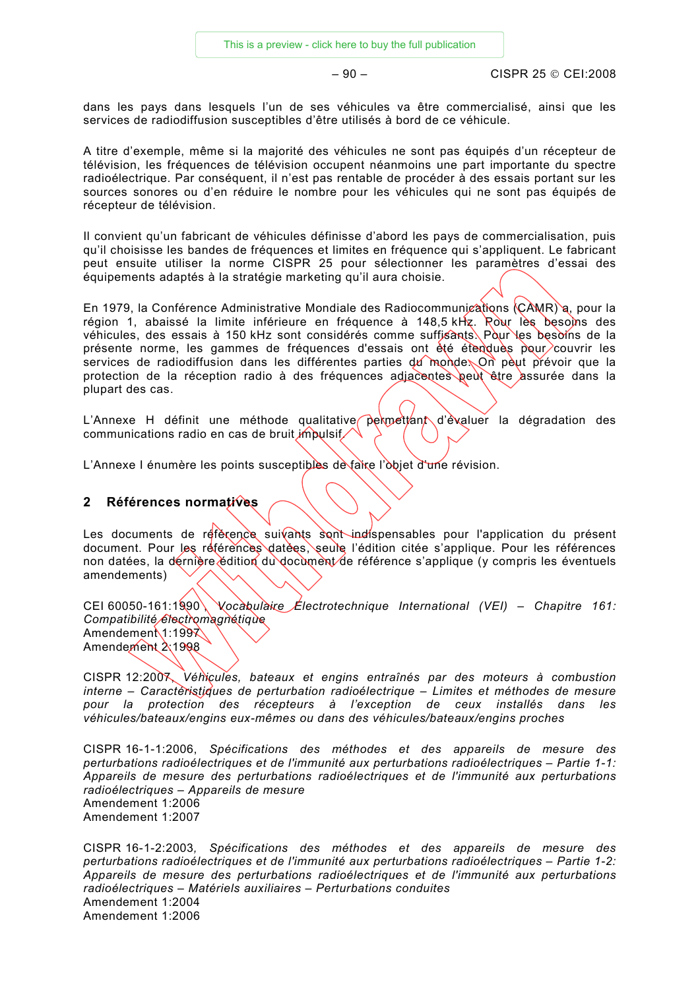– 90 – CISPR 25 © CEI:2008

<span id="page-18-0"></span>dans les pays dans lesquels l'un de ses véhicules va être commercialisé, ainsi que les services de radiodiffusion susceptibles d'être utilisés à bord de ce véhicule.

A titre d'exemple, même si la majorité des véhicules ne sont pas équipés d'un récepteur de télévision, les fréquences de télévision occupent néanmoins une part importante du spectre radioélectrique. Par conséquent, il n'est pas rentable de procéder à des essais portant sur les sources sonores ou d'en réduire le nombre pour les véhicules qui ne sont pas équipés de récepteur de télévision.

Il convient qu'un fabricant de véhicules définisse d'abord les pays de commercialisation, puis qu'il choisisse les bandes de fréquences et limites en fréquence qui s'appliquent. Le fabricant peut ensuite utiliser la norme CISPR 25 pour sélectionner les paramètres d'essai des équipements adaptés à la stratégie marketing qu'il aura choisie.

En 1979, la Conférence Administrative Mondiale des Radiocommunications (CAMR) a, pour la région 1, abaissé la limite inférieure en fréquence à 148,5 kHz. Rour les besoins des véhicules, des essais à 150 kHz sont considérés comme suffisants. Pour les besoins de la présente norme, les gammes de fréquences d'essais ont été étendues pour couvrir les services de radiodiffusion dans les différentes parties du monde. On peut prévoir que la protection de la réception radio à des fréquences adjacentes peut être assurée dans la plupart des cas.

L'Annexe H définit une méthode qualitative permettant d'évaluer la dégradation des communications radio en cas de bruit  $m$  bulsif.

L'Annexe I énumère les points susceptibles de faire l'objet d'une révision.

## **2 Références normatives**

Les documents de référence suivants sont indispensables pour l'application du présent document. Pour les références datées, seule l'édition citée s'applique. Pour les références non datées, la dérnière édition du document de référence s'applique (y compris les éventuels amendements)

CEI 60050-161:1990 , *Vocabulaire Electrotechnique International (VEI) – Chapitre 161: Compatibilité électromagnétique*  Amendement 1:1997 Amendement 2:1998

CISPR 12:2007, *Véhicules, bateaux et engins entraînés par des moteurs à combustion interne – Caractéristiques de perturbation radioélectrique – Limites et méthodes de mesure pour la protection des récepteurs à l'exception de ceux installés dans les véhicules/bateaux/engins eux-mêmes ou dans des véhicules/bateaux/engins proches*

CISPR 16-1-1:2006, *Spécifications des méthodes et des appareils de mesure des perturbations radioélectriques et de l'immunité aux perturbations radioélectriques – Partie 1-1: Appareils de mesure des perturbations radioélectriques et de l'immunité aux perturbations radioélectriques – Appareils de mesure*  Amendement 1:2006 Amendement 1:2007

CISPR 16-1-2:2003*, Spécifications des méthodes et des appareils de mesure des perturbations radioélectriques et de l'immunité aux perturbations radioélectriques – Partie 1-2: Appareils de mesure des perturbations radioélectriques et de l'immunité aux perturbations radioélectriques – Matériels auxiliaires – Perturbations conduites*  Amendement 1:2004 Amendement 1:2006